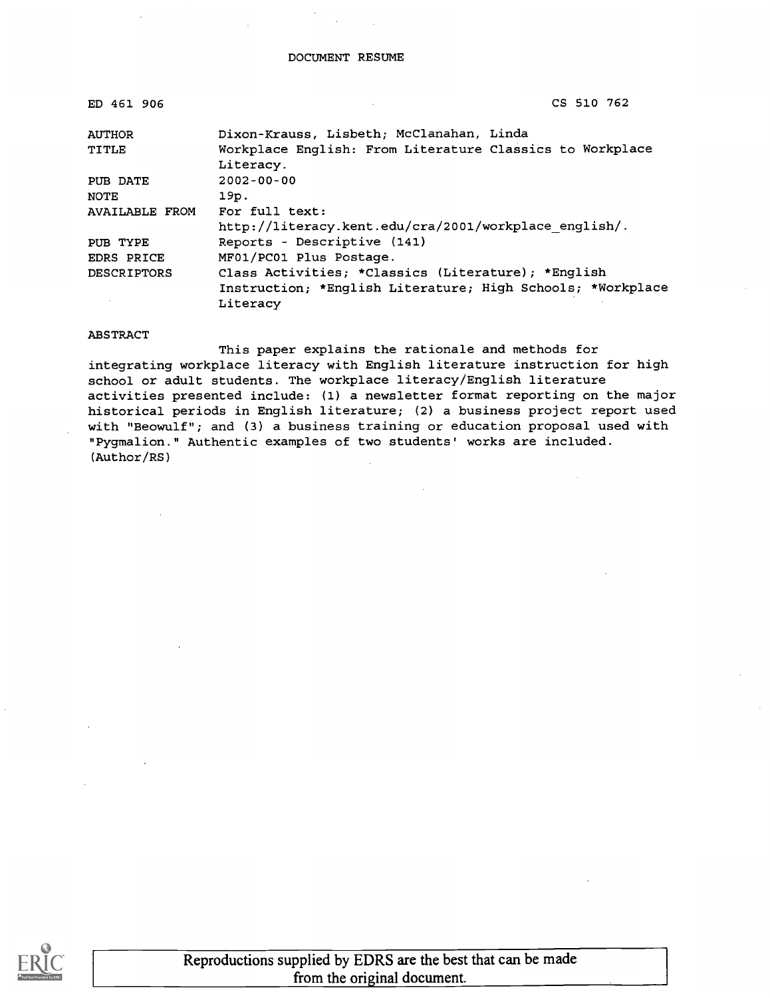| ED 461 906            | CS 510 762                                                 |
|-----------------------|------------------------------------------------------------|
| <b>AUTHOR</b>         | Dixon-Krauss, Lisbeth; McClanahan, Linda                   |
| TITLE                 | Workplace English: From Literature Classics to Workplace   |
|                       | Literacy.                                                  |
| PUB DATE              | $2002 - 00 - 00$                                           |
| <b>NOTE</b>           | 19p.                                                       |
| <b>AVAILABLE FROM</b> | For full text:                                             |
|                       | http://literacy.kent.edu/cra/2001/workplace english/.      |
| PUB TYPE              | Reports - Descriptive (141)                                |
| EDRS PRICE            | MF01/PC01 Plus Postage.                                    |
| <b>DESCRIPTORS</b>    | Class Activities; *Classics (Literature); *English         |
|                       | Instruction; *English Literature; High Schools; *Workplace |
|                       | Literacy                                                   |

#### ABSTRACT

This paper explains the rationale and methods for integrating workplace literacy with English literature instruction for high school or adult students. The workplace literacy/English literature activities presented include: (1) a newsletter format reporting on the major historical periods in English literature; (2) a business project report used with "Beowulf"; and (3) a business training or education proposal used with "Pygmalion." Authentic examples of two students' works are included. (Author/RS)

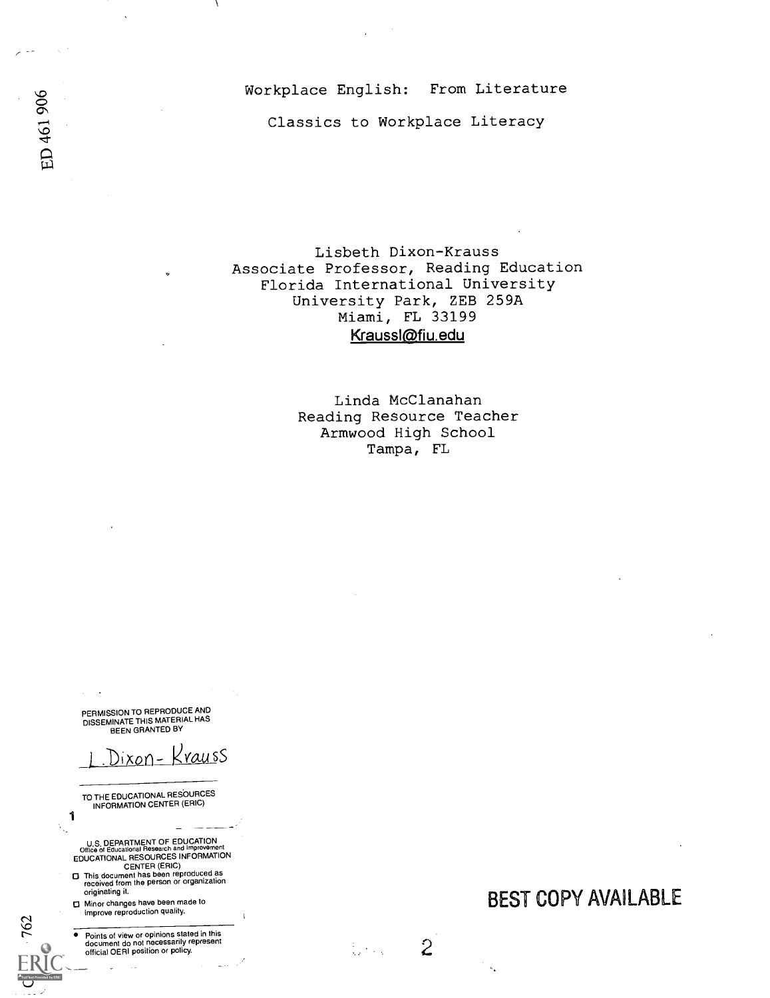Workplace English: From Literature

Classics to Workplace Literacy

Lisbeth Dixon-Krauss Associate Professor, Reading Education Florida International University University Park, ZEB 259A Miami, FL 33199 Kraussl@fiu.edu

> Linda McClanahan Reading Resource Teacher Armwood High School Tampa, FL

> > $\overline{2}$

ti<br>Santa Cara

PERMISSION TO REPRODUCE AND<br>DISSEMINATE THIS MATERIAL HAS<br>BEEN GRANTED BY

Di<u>xon- Kraus</u>s

TO THE EDUCATIONAL RESOURCES INFORMATION CENTER (ERIC)

1

N.

ED 461 906

**Coll Text Provided by FR** 

762

U.S. DEPARTMENT OF EDUCATION<br>Office of Educational Research and improvement<br>EDUCATIONAL RESOURCES INFORMATION<br>CENTER (ERIC)

- □ This document has been reproduced as<br>received from the person or organization originating it.
- 0 Minor changes have been made to improve reproduction quality.

Points of view or opinions stated in this document do not necessarily represent official OERI position or policy.

BEST COPY AVAILABLE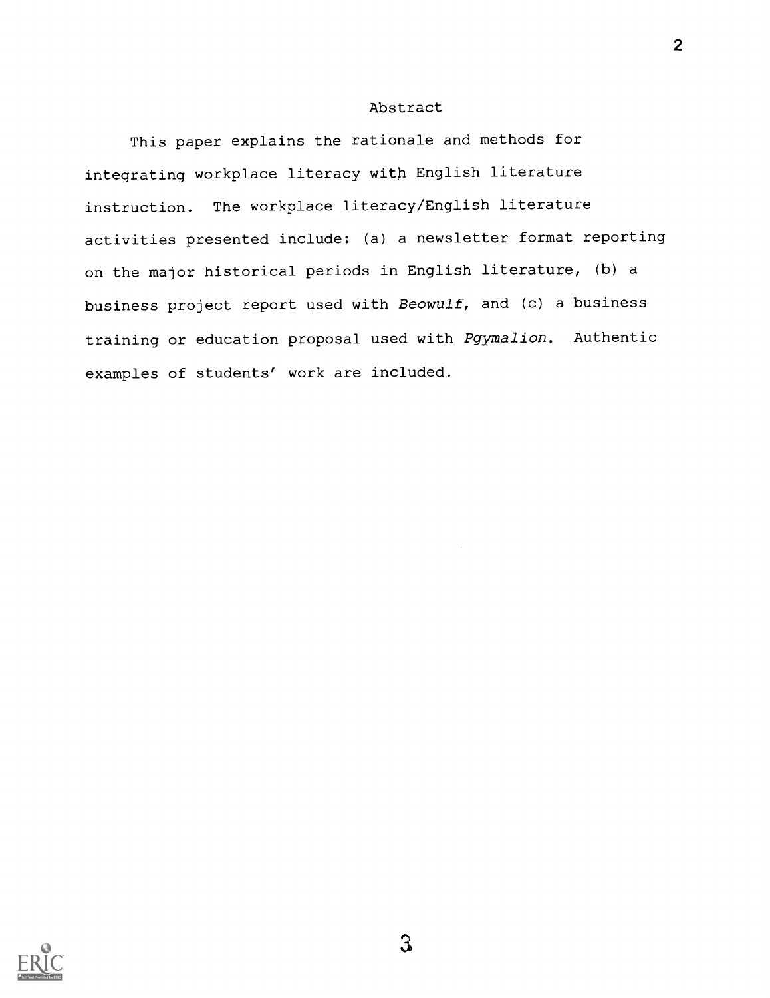## Abstract

This paper explains the rationale and methods for integrating workplace literacy with English literature instruction. The workplace literacy/English literature activities presented include: (a) a newsletter format reporting on the major historical periods in English literature, (b) a business project report used with Beowulf, and (c) a business training or education proposal used with Pgymalion. Authentic examples of students' work are included.

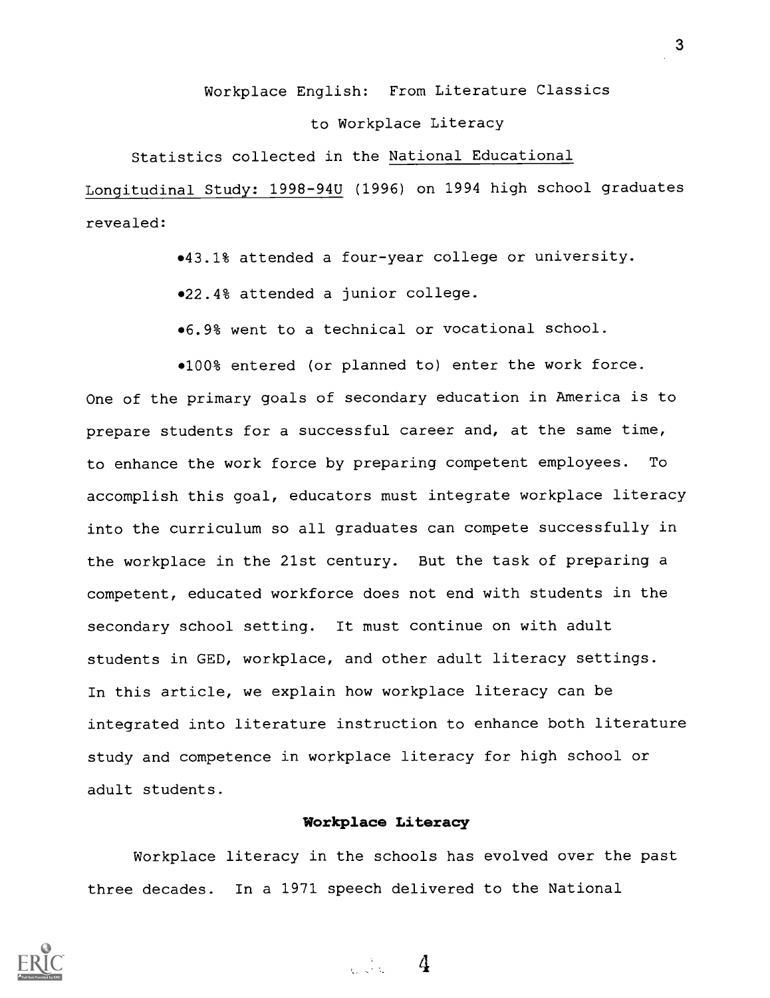## Workplace English: From Literature Classics

#### to Workplace Literacy

#### Statistics collected in the National Educational

Longitudinal Study: 1998-94U (1996) on 1994 high school graduates revealed:

43.1% attended a four-year college or university.

022.4% attended a junior college.

6.9% went to a technical or vocational school.

 $•100$ % entered (or planned to) enter the work force. One of the primary goals of secondary education in America is to prepare students for a successful career and, at the same time, to enhance the work force by preparing competent employees. To accomplish this goal, educators must integrate workplace literacy into the curriculum so all graduates can compete successfully in the workplace in the 21st century. But the task of preparing a competent, educated workforce does not end with students in the secondary school setting. It must continue on with adult students in GED, workplace, and other adult literacy settings. In this article, we explain how workplace literacy can be integrated into literature instruction to enhance both literature study and competence in workplace literacy for high school or adult students.

#### Workplace Literacy

Workplace literacy in the schools has evolved over the past three decades. In a 1971 speech delivered to the National

 $\sim$  4

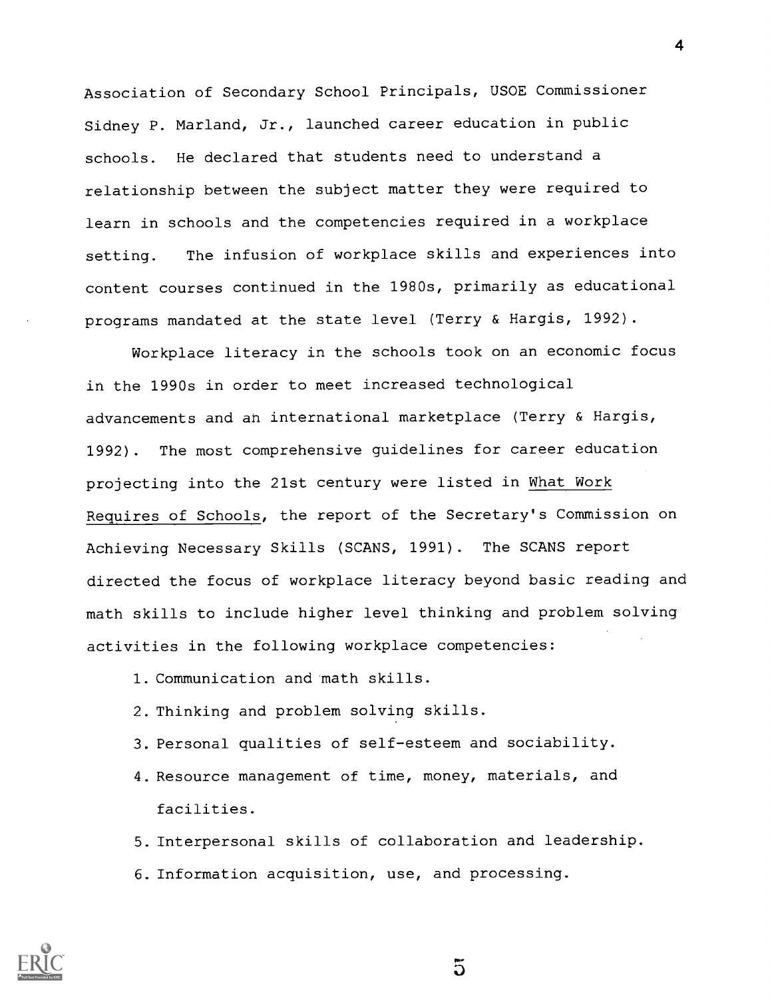Association of Secondary School Principals, USOE Commissioner Sidney P. Marland, Jr., launched career education in public schools. He declared that students need to understand a relationship between the subject matter they were required to learn in schools and the competencies required in a workplace setting. The infusion of workplace skills and experiences into content courses continued in the 1980s, primarily as educational programs mandated at the state level (Terry & Hargis, 1992).

Workplace literacy in the schools took on an economic focus in the 1990s in order to meet increased technological advancements and an international marketplace (Terry & Hargis, 1992). The most comprehensive guidelines for career education projecting into the 21st century were listed in What Work Requires of Schools, the report of the Secretary's Commission on Achieving Necessary Skills (SCANS, 1991) . The SCANS report directed the focus of workplace literacy beyond basic reading and math skills to include higher level thinking and problem solving activities in the following workplace competencies:

- 1. Communication and math skills.
- 2. Thinking and problem solving skills.
- 3. Personal qualities of self-esteem and sociability.
- 4.Resource management of time, money, materials, and facilities.

5. Interpersonal skills of collaboration and leadership. 6. Information acquisition, use, and processing.

 $\overline{5}$ 

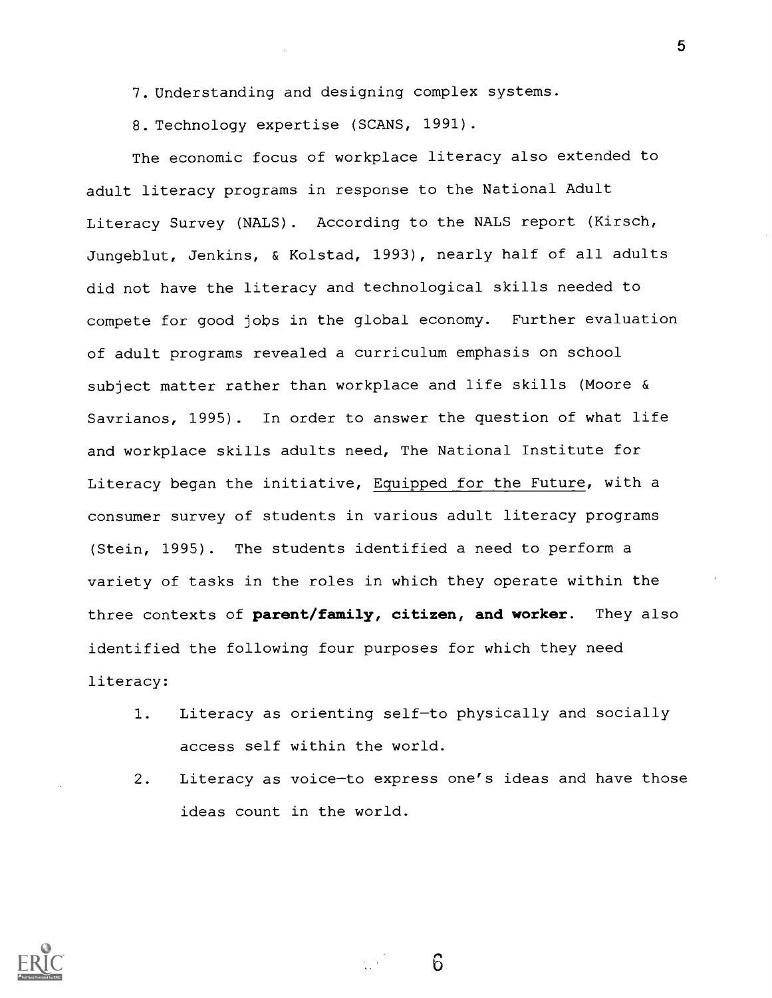7.Understanding and designing complex systems.

8. Technology expertise (SCANS, 1991).

The economic focus of workplace literacy also extended to adult literacy programs in response to the National Adult Literacy Survey (NALS). According to the NALS report (Kirsch, Jungeblut, Jenkins, & Kolstad, 1993), nearly half of all adults did not have the literacy and technological skills needed to compete for good jobs in the global economy. Further evaluation of adult programs revealed a curriculum emphasis on school subject matter rather than workplace and life skills (Moore & Savrianos, 1995) . In order to answer the question of what life and workplace skills adults need, The National Institute for Literacy began the initiative, Equipped for the Future, with a consumer survey of students in various adult literacy programs (Stein, 1995). The students identified a need to perform a variety of tasks in the roles in which they operate within the three contexts of parent/family, citizen, and worker. They also identified the following four purposes for which they need literacy:

- 1. Literacy as orienting self-to physically and socially access self within the world.
- 2. Literacy as voice-to express one's ideas and have those ideas count in the world.

6

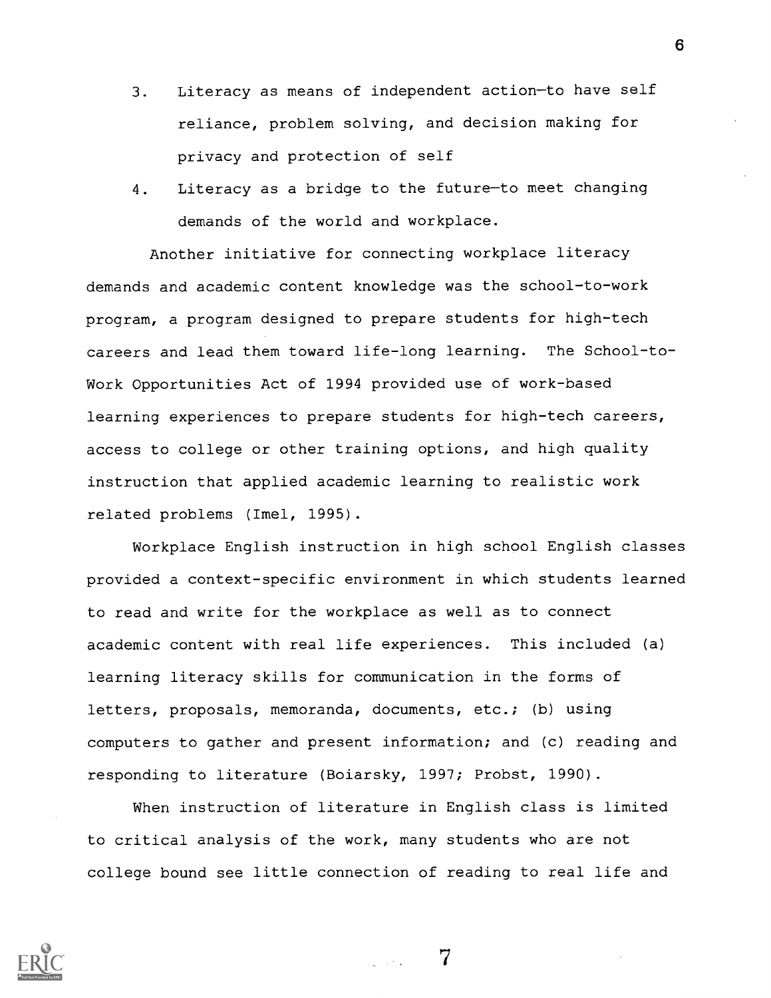- 3. Literacy as means of independent action-to have self reliance, problem solving, and decision making for privacy and protection of self
- 4. Literacy as a bridge to the future-to meet changing demands of the world and workplace.

Another initiative for connecting workplace literacy demands and academic content knowledge was the school-to-work program, a program designed to prepare students for high-tech careers and lead them toward life-long learning. The School-to-Work Opportunities Act of 1994 provided use of work-based learning experiences to prepare students for high-tech careers, access to college or other training options, and high quality instruction that applied academic learning to realistic work related problems (Imel, 1995).

Workplace English instruction in high school English classes provided a context-specific environment in which students learned to read and write for the workplace as well as to connect academic content with real life experiences. This included (a) learning literacy skills for communication in the forms of letters, proposals, memoranda, documents, etc.; (b) using computers to gather and present information; and (c) reading and responding to literature (Boiarsky, 1997; Probst, 1990).

When instruction of literature in English class is limited to critical analysis of the work, many students who are not college bound see little connection of reading to real life and

7

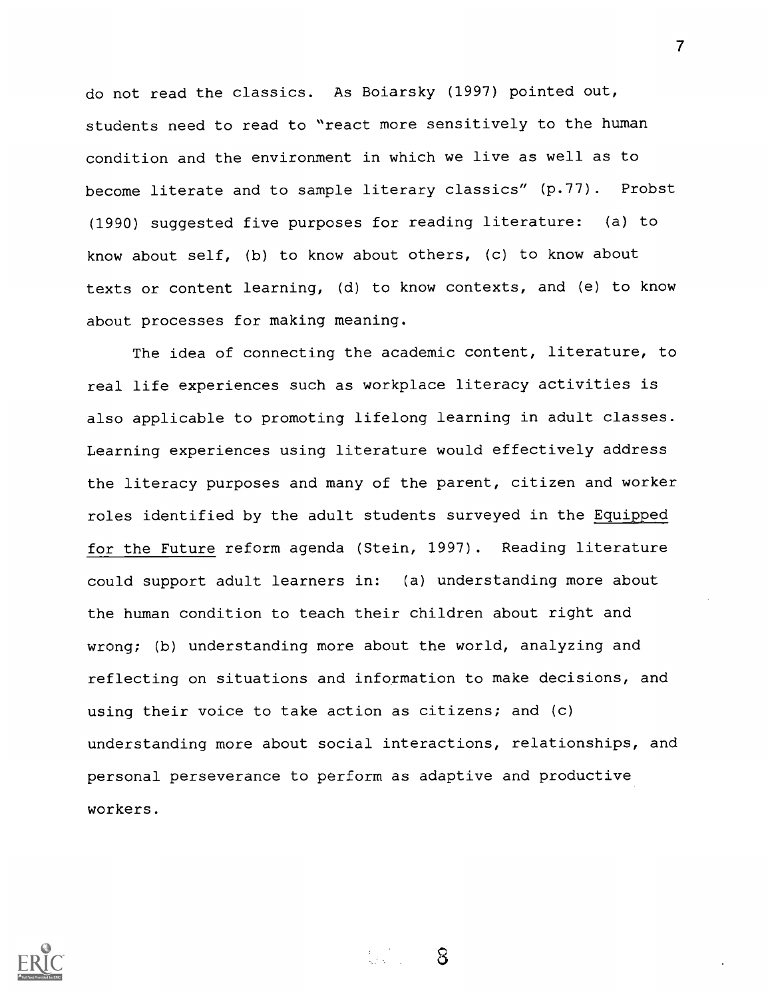do not read the classics. As Boiarsky (1997) pointed out, students need to read to "react more sensitively to the human condition and the environment in which we live as well as to become literate and to sample literary classics" (p.77). Probst (1990) suggested five purposes for reading literature: (a) to know about self, (b) to know about others, (c) to know about texts or content learning, (d) to know contexts, and (e) to know about processes for making meaning.

The idea of connecting the academic content, literature, to real life experiences such as workplace literacy activities is also applicable to promoting lifelong learning in adult classes. Learning experiences using literature would effectively address the literacy purposes and many of the parent, citizen and worker roles identified by the adult students surveyed in the Equipped for the Future reform agenda (Stein, 1997). Reading literature could support adult learners in: (a) understanding more about the human condition to teach their children about right and wrong; (b) understanding more about the world, analyzing and reflecting on situations and information to make decisions, and using their voice to take action as citizens; and (c) understanding more about social interactions, relationships, and personal perseverance to perform as adaptive and productive workers.

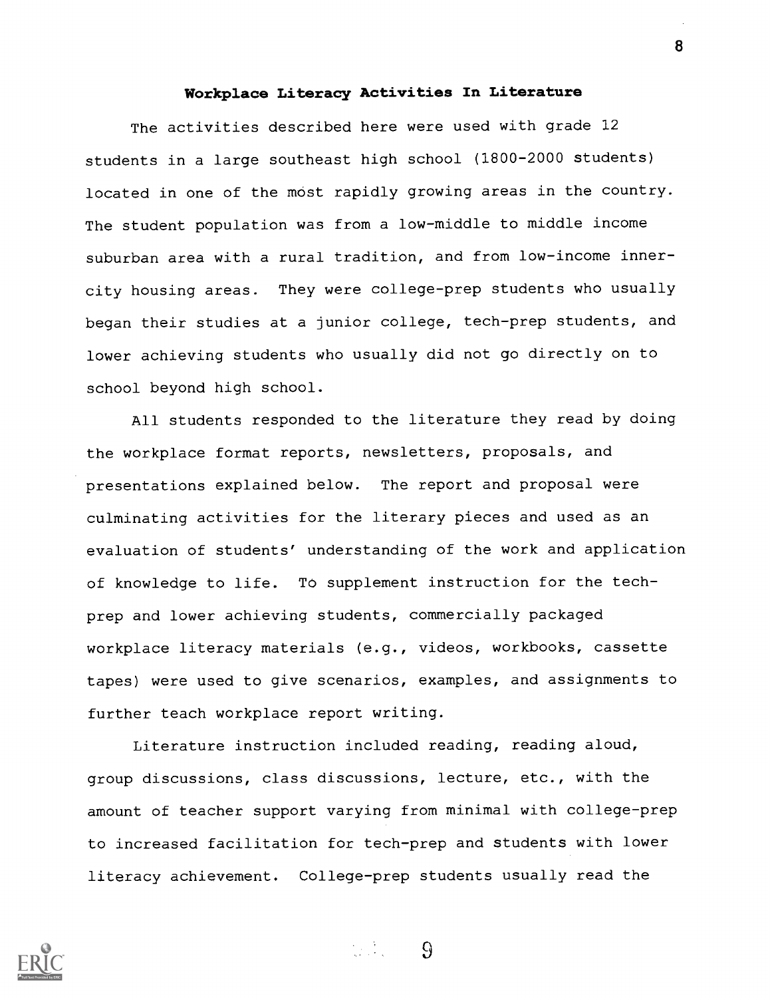## Workplace Literacy Activities In Literature

The activities described here were used with grade 12 students in a large southeast high school (1800-2000 students) located in one of the most rapidly growing areas in the country. The student population was from a low-middle to middle income suburban area with a rural tradition, and from low-income innercity housing areas. They were college-prep students who usually began their studies at a junior college, tech-prep students, and lower achieving students who usually did not go directly on to school beyond high school.

All students responded to the literature they read by doing the workplace format reports, newsletters, proposals, and presentations explained below. The report and proposal were culminating activities for the literary pieces and used as an evaluation of students' understanding of the work and application of knowledge to life. TO supplement instruction for the techprep and lower achieving students, commercially packaged workplace literacy materials (e.g., videos, workbooks, cassette tapes) were used to give scenarios, examples, and assignments to further teach workplace report writing.

Literature instruction included reading, reading aloud, group discussions, class discussions, lecture, etc., with the amount of teacher support varying from minimal with college-prep to increased facilitation for tech-prep and students with lower literacy achievement. College-prep students usually read the



 $\Omega$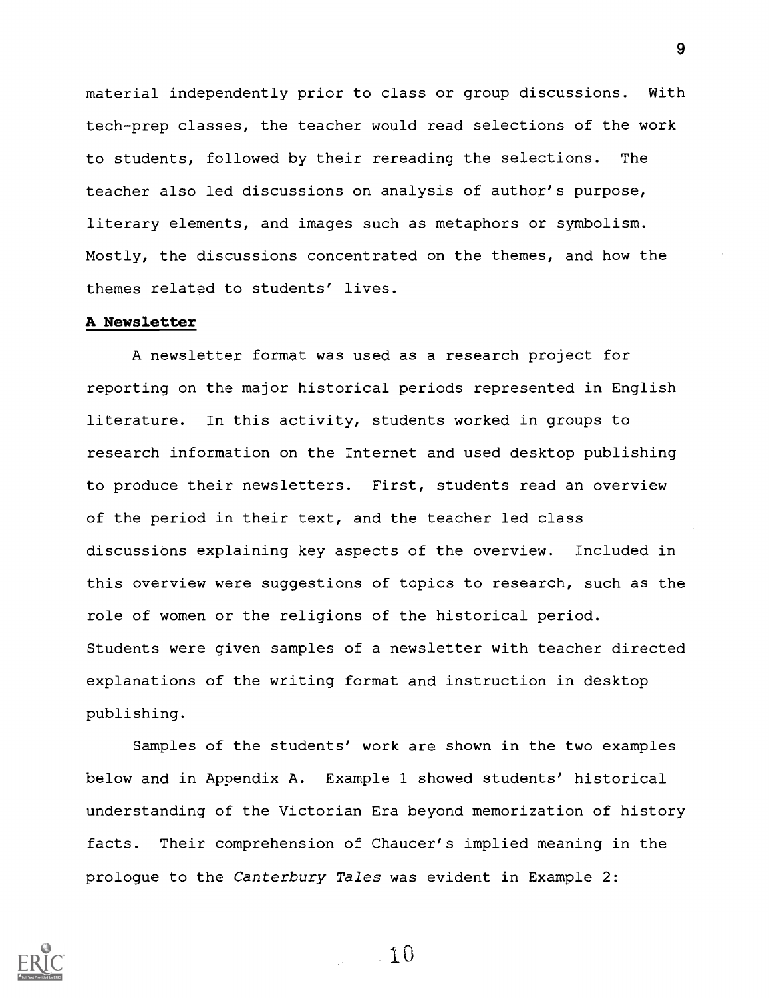material independently prior to class or group discussions. With tech-prep classes, the teacher would read selections of the work to students, followed by their rereading the selections. The teacher also led discussions on analysis of author's purpose, literary elements, and images such as metaphors or symbolism. Mostly, the discussions concentrated on the themes, and how the themes related to students' lives.

#### A Newsletter

A newsletter format was used as a research project for reporting on the major historical periods represented in English literature. In this activity, students worked in groups to research information on the Internet and used desktop publishing to produce their newsletters. First, students read an overview of the period in their text, and the teacher led class discussions explaining key aspects of the overview. Included in this overview were suggestions of topics to research, such as the role of women or the religions of the historical period. Students were given samples of a newsletter with teacher directed explanations of the writing format and instruction in desktop publishing.

Samples of the students' work are shown in the two examples below and in Appendix A. Example 1 showed students' historical understanding of the Victorian Era beyond memorization of history facts. Their comprehension of Chaucer's implied meaning in the prologue to the Canterbury Tales was evident in Example 2:



 $\sim$  1 0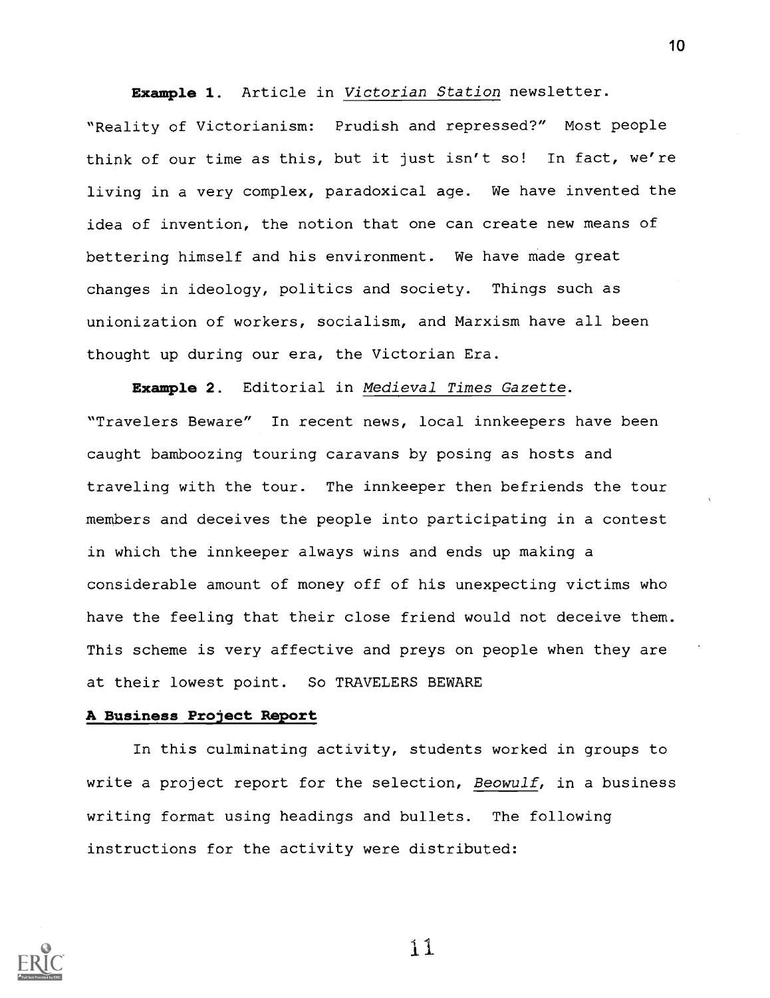Example 1. Article in Victorian Station newsletter.

"Reality of Victorianism: Prudish and repressed?" Most people think of our time as this, but it just isn't so! In fact, we're living in a very complex, paradoxical age. We have invented the idea of invention, the notion that one can create new means of bettering himself and his environment. We have made great changes in ideology, politics and society. Things such as unionization of workers, socialism, and Marxism have all been thought up during our era, the Victorian Era.

Example 2. Editorial in Medieval Times Gazette. "Travelers Beware" In recent news, local innkeepers have been caught bamboozing touring caravans by posing as hosts and traveling with the tour. The innkeeper then befriends the tour members and deceives the people into participating in a contest in which the innkeeper always wins and ends up making a considerable amount of money off of his unexpecting victims who have the feeling that their close friend would not deceive them. This scheme is very affective and preys on people when they are at their lowest point. So TRAVELERS BEWARE

#### A Business Project Report

In this culminating activity, students worked in groups to write a project report for the selection, Beowulf, in a business writing format using headings and bullets. The following instructions for the activity were distributed:



11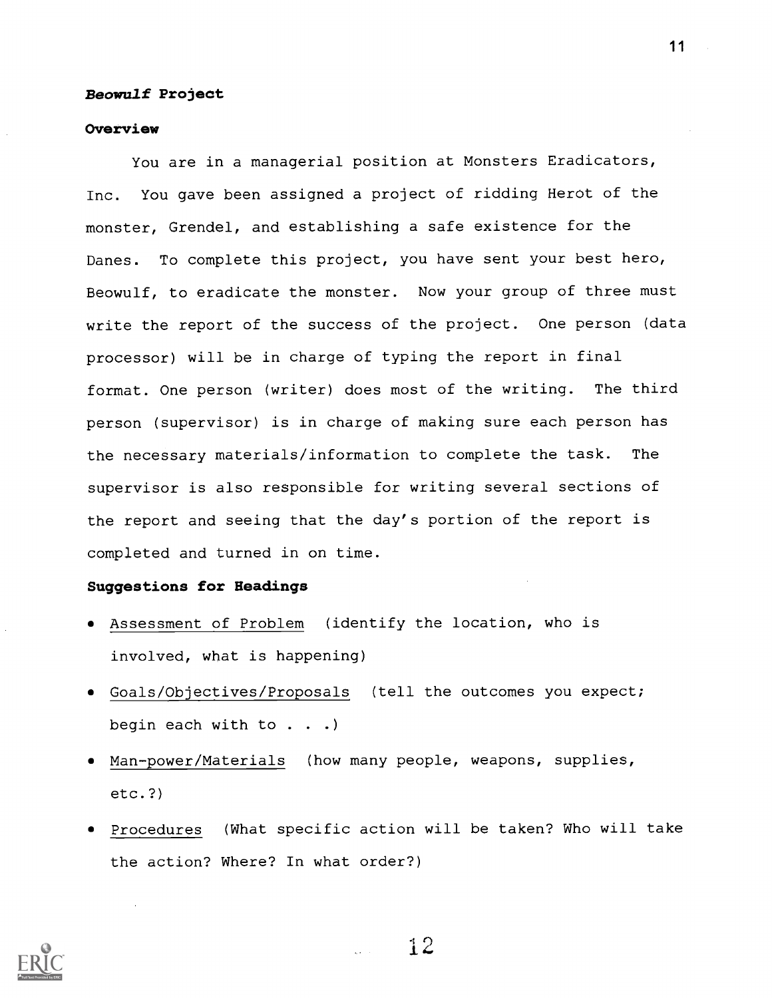#### Beowulf Project

#### **Overview**

You are in a managerial position at Monsters Eradicators, Inc. You gave been assigned a project of ridding Herot of the monster, Grendel, and establishing a safe existence for the Danes. To complete this project, you have sent your best hero, Beowulf, to eradicate the monster. Now your group of three must write the report of the success of the project. One person (data processor) will be in charge of typing the report in final format. One person (writer) does most of the writing. The third person (supervisor) is in charge of making sure each person has the necessary materials/information to complete the task. The supervisor is also responsible for writing several sections of the report and seeing that the day's portion of the report is completed and turned in on time.

#### Suggestions for Headings

- Assessment of Problem (identify the location, who is involved, what is happening)
- Goals/Objectives/Proposals (tell the outcomes you expect; begin each with to . . .)
- Man-power/Materials (how many people, weapons, supplies, etc.?)
- Procedures (What specific action will be taken? Who will take the action? Where? In what order?)



 $11$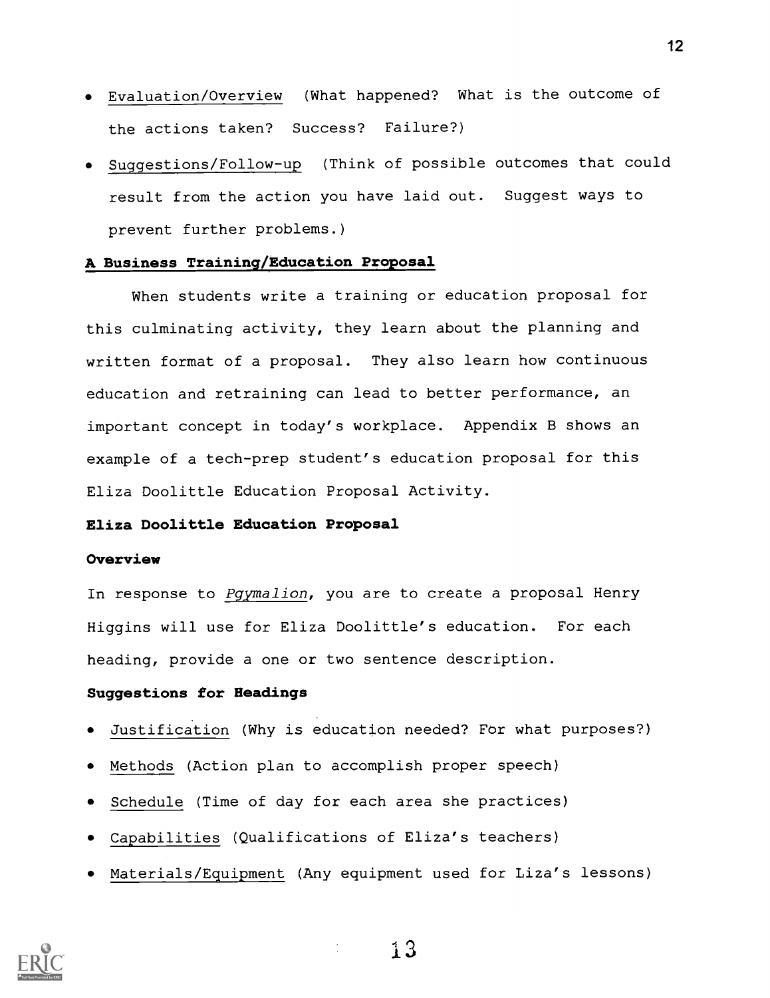- Evaluation/Overview (What happened? What is the outcome of the actions taken? Success? Failure?)
- Suggestions/Follow-up (Think of possible outcomes that could result from the action you have laid out. Suggest ways to prevent further problems.)

#### A Business Training/Education Proposal

When students write a training or education proposal for this culminating activity, they learn about the planning and written format of a proposal. They also learn how continuous education and retraining can lead to better performance, an important concept in today's workplace. Appendix B shows an example of a tech-prep student's education proposal for this Eliza Doolittle Education Proposal Activity.

## Eliza Doolittle Education Proposal

#### **Overview**

In response to Pgymalion, you are to create a proposal Henry Higgins will use for Eliza Doolittle's education. For each heading, provide a one or two sentence description.

## Suggestions for Headings

- Justification (Why is education needed? For what purposes?)
- Methods (Action plan to accomplish proper speech)
- Schedule (Time of day for each area she practices)
- Capabilities (Qualifications of Eliza's teachers)
- Materials/Equipment (Amy equipment used for Liza's lessons)



12

i3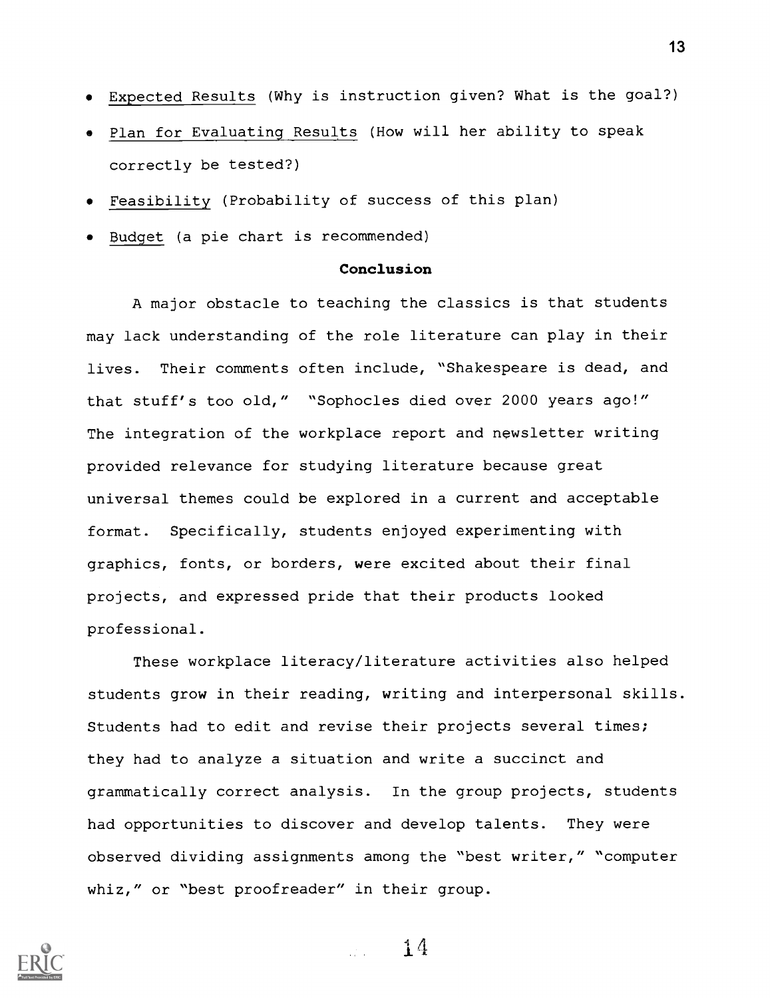- Expected Results (Why is instruction given? What is the goal?)
- Plan for Evaluating Results (How will her ability to speak correctly be tested?)
- Feasibility (Probability of success of this plan)
- Budget (a pie chart is recommended)

#### Conclusion

A major obstacle to teaching the classics is that students may lack understanding of the role literature can play in their lives. Their comments often include, "Shakespeare is dead, and that stuff's too old," "Sophocles died over 2000 years ago!" The integration of the workplace report and newsletter writing provided relevance for studying literature because great universal themes could be explored in a current and acceptable format. Specifically, students enjoyed experimenting with graphics, fonts, or borders, were excited about their final projects, and expressed pride that their products looked professional.

These workplace literacy/literature activities also helped students grow in their reading, writing and interpersonal skills. Students had to edit and revise their projects several times; they had to analyze a situation and write a succinct and grammatically correct analysis. In the group projects, students had opportunities to discover and develop talents. They were observed dividing assignments among the "best writer," "computer whiz," or "best proofreader" in their group.

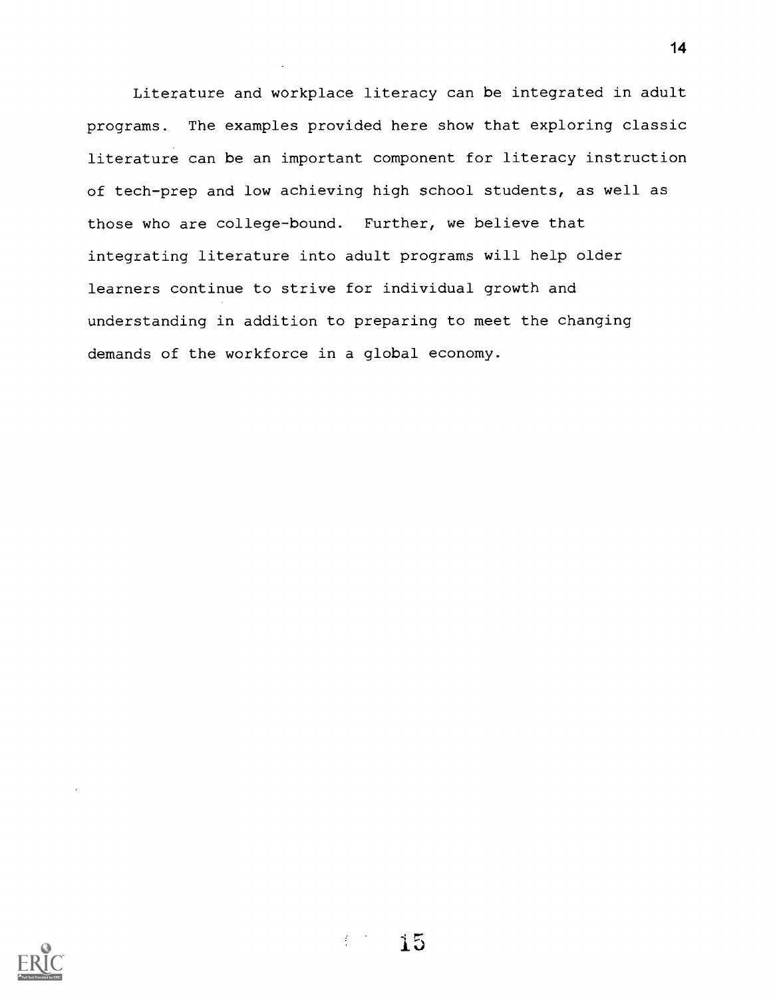Literature and workplace literacy can be integrated in adult programs. The examples provided here show that exploring classic literature can be an important component for literacy instruction of tech-prep and low achieving high school students, as well as those who are college-bound. Further, we believe that integrating literature into adult programs will help older learners continue to strive for individual growth and understanding in addition to preparing to meet the changing demands of the workforce in a global economy.

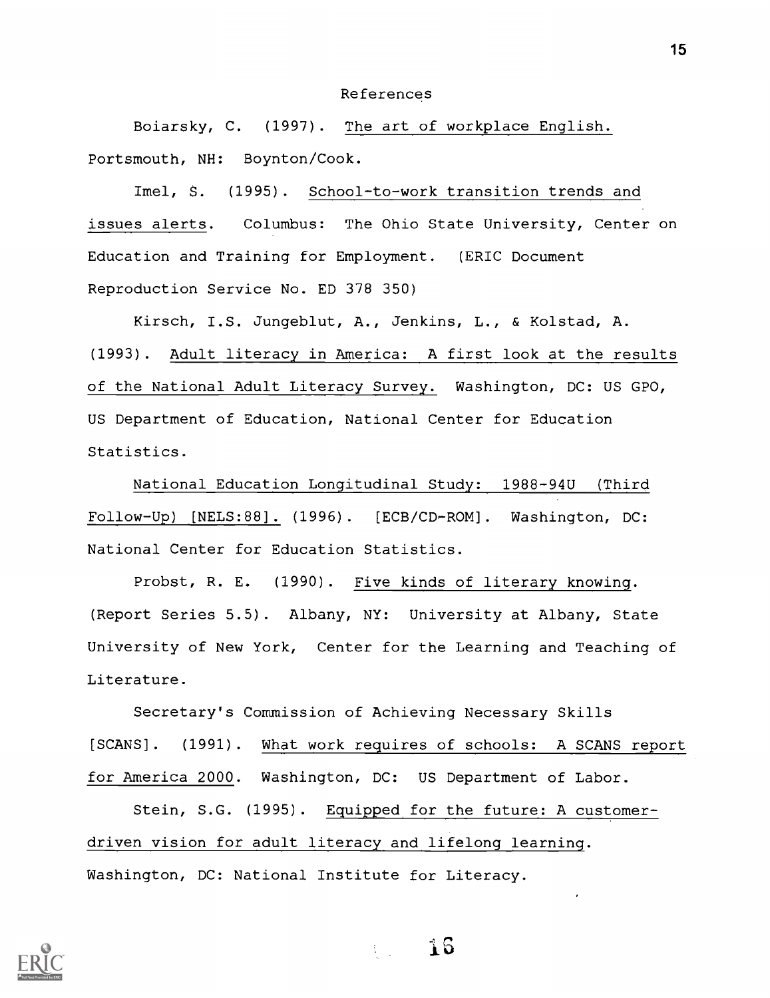#### References

Boiarsky, C. (1997). The art of workplace English. Portsmouth, NH: Boynton/Cook.

Imel, S. (1995). School-to-work transition trends and issues alerts. Columbus: The Ohio State University, Center on Education and Training for Employment. (ERIC Document Reproduction Service No. ED 378 350)

Kirsch, I.S. Jungeblut, A., Jenkins, L., & Kolstad, A. (1993) . Adult literacy in America: A first look at the results of the National Adult Literacy Survey. Washington, DC: US GPO, US Department of Education, National Center for Education Statistics.

National Education Longitudinal Study: 1988-94U (Third Follow-Up) [NELS:88]. (1996). [ECB/CD-ROM]. Washington, DC: National Center for Education Statistics.

Probst, R. E. (1990). Five kinds of literary knowing. (Report Series 5.5). Albany, NY: University at Albany, State University of New York, Center for the Learning and Teaching of Literature.

Secretary's Commission of Achieving Necessary Skills [SCANS]. (1991). What work requires of schools: A SCANS report for America 2000. Washington, DC: US Department of Labor.

Stein, S.G. (1995). Equipped for the future: A customerdriven vision for adult literacy and lifelong learning. Washington, DC: National Institute for Literacy.



16  $\{x_{i}\}_{i=1}^{n}$  .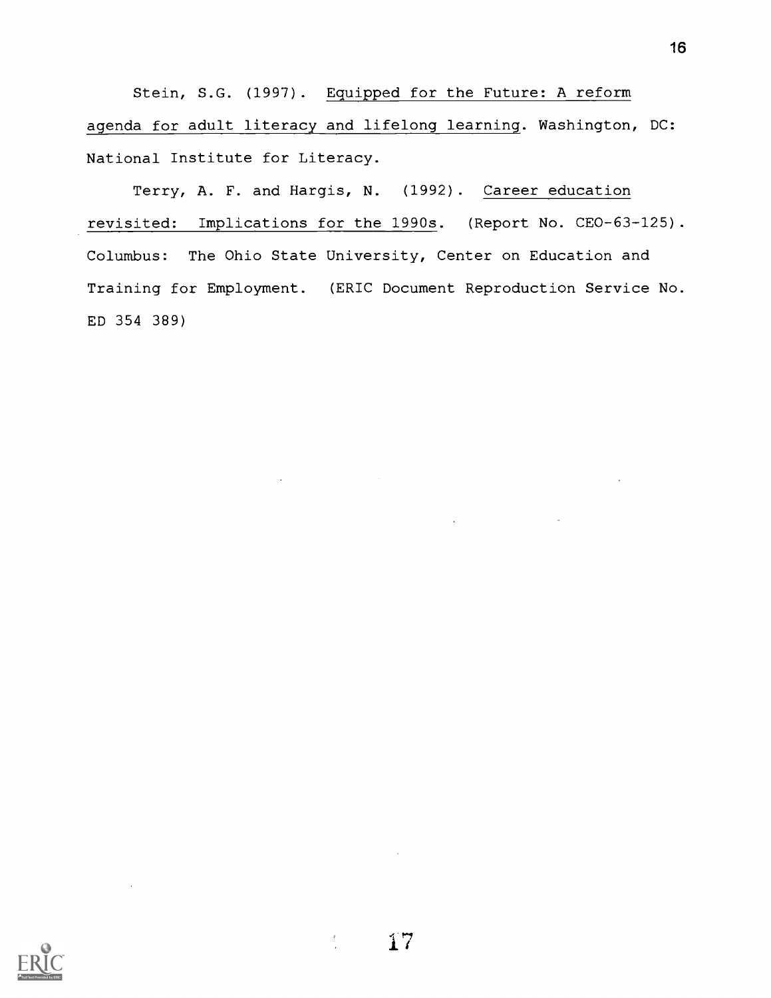Stein, S.G. (1997). Equipped for the Future: A reform agenda for adult literacy and lifelong learning. Washington, DC: National Institute for Literacy.

Terry, A. F. and Hargis, N. (1992). Career education revisited: Implications for the 1990s. (Report No. CEO-63-125). Columbus: The Ohio State University, Center on Education and Training for Employment. (ERIC Document Reproduction Service No. ED 354 389)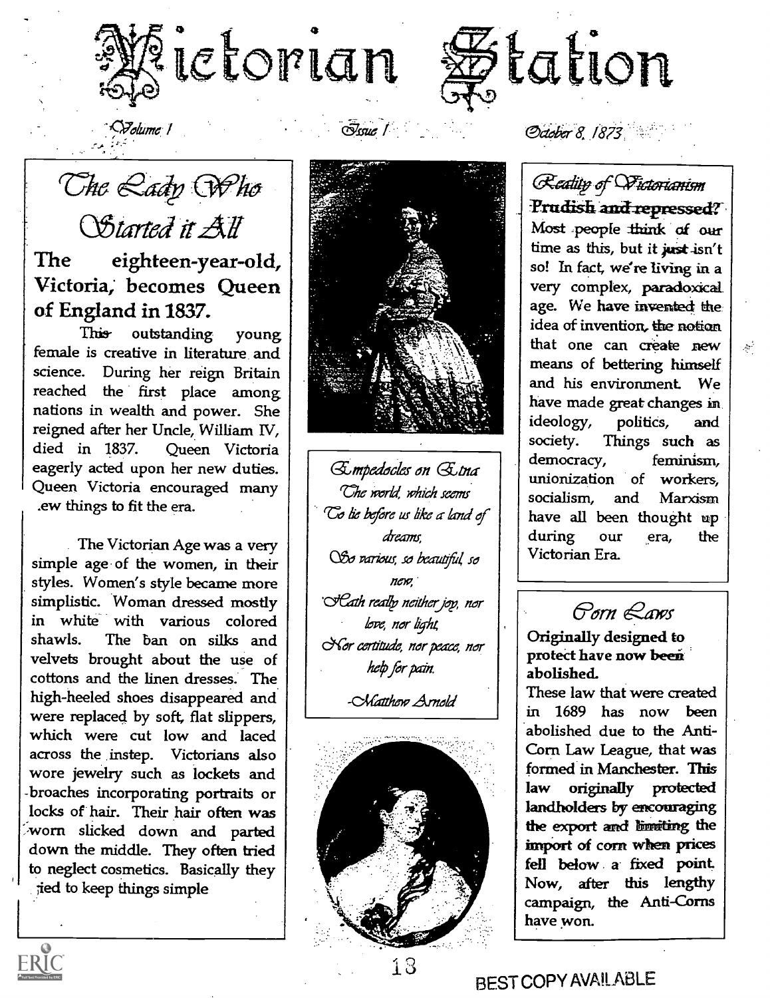



 $\sim$  $S$ olume../

<u>Tssue</u> /

The Rady Who OStarted it All

The eighteen-year-old, Victoria; becomes Queen of England in 1837.

This outstanding young female is creative in literature and science. During her reign Britain reached the first place among nations in wealth and power. She reigned after her Uncle, William IV, died in 1837. Queen Victoria eagerly acted upon her new duties. Queen Victoria encouraged many .ew things to fit the era.

The Victorian Age was a very simple age of the women, in their styles. Women's style became more simplistic. Woman dressed mostly in white with various colored shawls. The ban on silks and velvets brought about the use of cottons and the linen dresses. The high-heeled shoes disappeared and were replaced by soft, flat slippers, which were cut low and laced across the instep. Victorians also wore jewelry such as lockets and -broaches incorporating portraits or locks of hair. Their hair often was worn slicked down and parted down the middle. They often tried to neglect cosmetics. Basically they jed to keep things simple

ERIC



Gempedocles on Getna Che world, which seems To lie before us like a land of dreams, OSo various, so beautiful, so nen7, " Cath really neither joy, nor love, nor light, Sor certitude, nor peace, nor help for pain.

-CMatthen Arnold



October 8, 1873

Reality of Wictorianism Prudish and repressed? Most people think of our time as this, but it just isn't so! In fact, we're living in a very complex, paradoxical. age. We have invented the idea of invention, the notion that one can create new  $\left| \right|$ means of bettering himself and his environment. We have made great changes in ideology, politics, and society. Things such as democracy, feminism, unionization of workers, socialism, and Marxism have all been thought up during our era, the Victorian Era.

636r11 &..aws

Originally designed to protect have now been abolished.

These law that were created in 1689 has now been abolished due to the Anti-Corn Law League, that was formed in Manchester. This law originally protected landholders by encouraging the export and limiting the imPort of corn when prices fell below, a fixed point. Now, after this lengthy campaign, the Anti-Corns have won.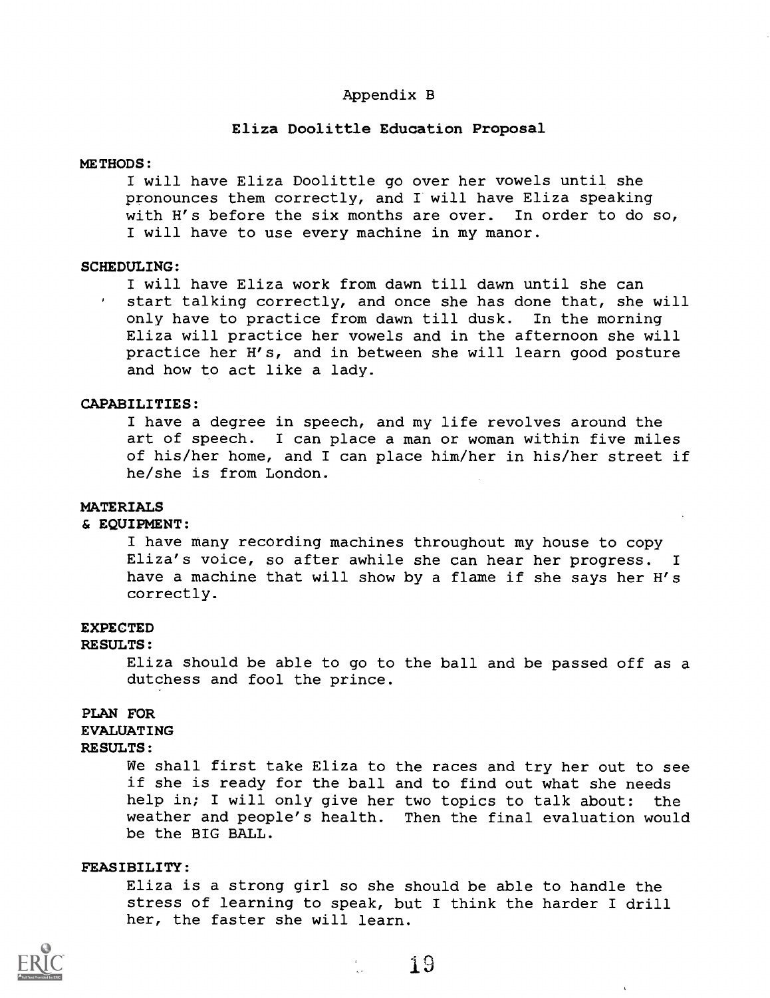#### Appendix B

#### Eliza Doolittle Education Proposal

#### METHODS:

will have Eliza Doolittle go over her vowels until she pronounces them correctly, and I will have Eliza speaking with H's before the six months are over. In order to do so, I will have to use every machine in my manor.

#### SCHEDULING:

will have Eliza work from dawn till dawn until she can start talking correctly, and once she has done that, she will only have to practice from dawn till dusk. In the morning Eliza will practice her vowels and in the afternoon she will practice her H's, and in between she will learn good posture and how to act like a lady.

### CAPABILITIES:

I have a degree in speech, and my life revolves around the art of speech. I can place a man or woman within five miles of his/her home, and I can place him/her in his/her street if he/she is from London.

#### **MATERIALS**

#### & EQUIPMENT:

I have many recording machines throughout my house to copy Eliza's voice, so after awhile she can hear her progress. <sup>I</sup> have a machine that will show by a flame if she says her H's correctly.

#### EXPECTED

#### RESULTS:

Eliza should be able to go to the ball and be passed off as a dutchess and fool the prince.

#### PLAN FOR

## EVALUATING

#### RESULTS:

We shall first take Eliza to the races and try her out to see if she is ready for the ball and to find out what she needs help in; I will only give her two topics to talk about: the weather and people's health. Then the final evaluation would be the BIG BALL.

### FEASIBILITY:

Eliza is a strong girl so she should be able to handle the stress of learning to speak, but I think the harder I drill her, the faster she will learn.

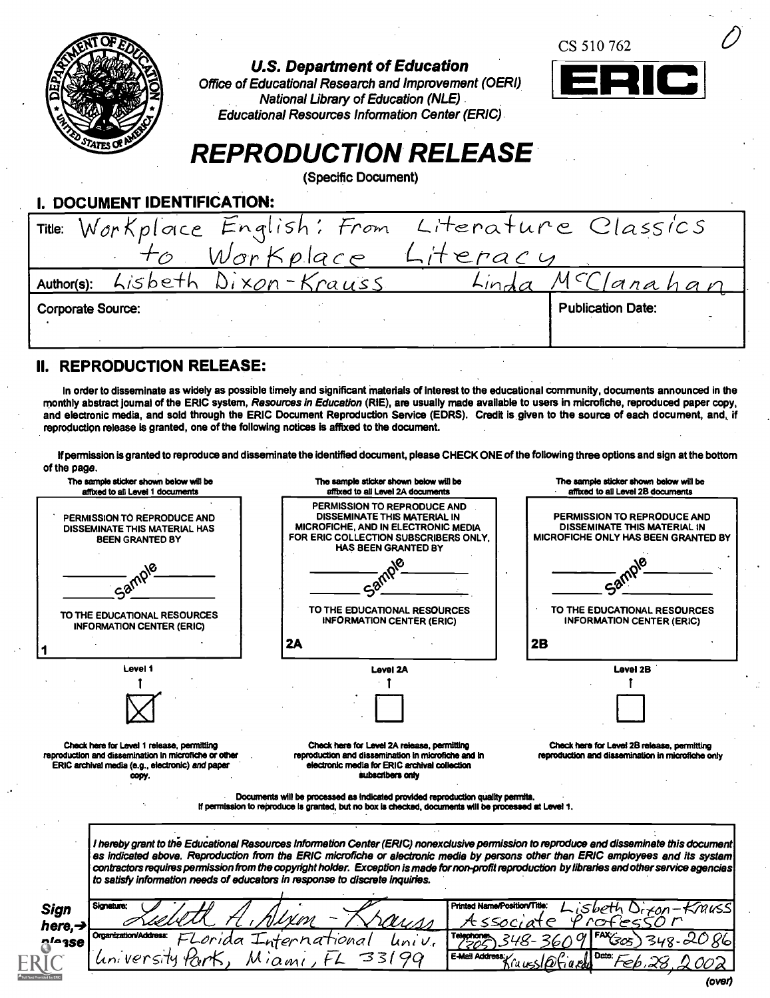|                                                                                           |                                                                                                                                                                                                                                                                                                                                                                                                                                                              | CS 510 762                                                                                                |  |
|-------------------------------------------------------------------------------------------|--------------------------------------------------------------------------------------------------------------------------------------------------------------------------------------------------------------------------------------------------------------------------------------------------------------------------------------------------------------------------------------------------------------------------------------------------------------|-----------------------------------------------------------------------------------------------------------|--|
|                                                                                           | <b>U.S. Department of Education</b><br>Office of Educational Research and Improvement (OERI)                                                                                                                                                                                                                                                                                                                                                                 | RICI                                                                                                      |  |
|                                                                                           | <b>National Library of Education (NLE)</b><br><b>Educational Resources Information Center (ERIC)</b> .                                                                                                                                                                                                                                                                                                                                                       |                                                                                                           |  |
|                                                                                           |                                                                                                                                                                                                                                                                                                                                                                                                                                                              |                                                                                                           |  |
|                                                                                           | <b>REPRODUCTION RELEASE</b>                                                                                                                                                                                                                                                                                                                                                                                                                                  |                                                                                                           |  |
|                                                                                           | (Specific Document)                                                                                                                                                                                                                                                                                                                                                                                                                                          |                                                                                                           |  |
| I. DOCUMENT IDENTIFICATION:                                                               |                                                                                                                                                                                                                                                                                                                                                                                                                                                              |                                                                                                           |  |
| Workplace<br>Title:                                                                       | From<br>English                                                                                                                                                                                                                                                                                                                                                                                                                                              | Literature Classics                                                                                       |  |
|                                                                                           | Workplace Literacy                                                                                                                                                                                                                                                                                                                                                                                                                                           |                                                                                                           |  |
| Lisbeth<br>Author(s):                                                                     | Dixon-Krauss<br>Linda                                                                                                                                                                                                                                                                                                                                                                                                                                        | anahar                                                                                                    |  |
| Corporate Source:                                                                         |                                                                                                                                                                                                                                                                                                                                                                                                                                                              | <b>Publication Date:</b>                                                                                  |  |
|                                                                                           |                                                                                                                                                                                                                                                                                                                                                                                                                                                              |                                                                                                           |  |
|                                                                                           |                                                                                                                                                                                                                                                                                                                                                                                                                                                              |                                                                                                           |  |
|                                                                                           |                                                                                                                                                                                                                                                                                                                                                                                                                                                              |                                                                                                           |  |
| II. REPRODUCTION RELEASE:                                                                 |                                                                                                                                                                                                                                                                                                                                                                                                                                                              |                                                                                                           |  |
|                                                                                           | In order to disseminate as widely as possible timely and significant materials of interest to the educational community, documents announced in the<br>monthly abstract journal of the ERIC system, Resources in Education (RIE), are usually made available to users in microfiche, reproduced paper copy,<br>and electronic media, and sold through the ERIC Document Reproduction Service (EDRS). Credit is given to the source of each document, and, if |                                                                                                           |  |
| reproduction release is granted, one of the following notices is affixed to the document. |                                                                                                                                                                                                                                                                                                                                                                                                                                                              |                                                                                                           |  |
|                                                                                           | If permission is granted to reproduce and disseminate the identified document, please CHECK ONE of the following three options and sign at the bottom                                                                                                                                                                                                                                                                                                        |                                                                                                           |  |
| of the page.<br>The sample sticker shown below will be                                    | The sample sticker shown below will be                                                                                                                                                                                                                                                                                                                                                                                                                       | The sample sticker shown below will be                                                                    |  |
| affixed to all Level 1 documents                                                          | affixed to all Level 2A documents<br>PERMISSION TO REPRODUCE AND                                                                                                                                                                                                                                                                                                                                                                                             | affixed to all Level 2B documents                                                                         |  |
| PERMISSION TO REPRODUCE AND<br><b>DISSEMINATE THIS MATERIAL HAS</b>                       | <b>DISSEMINATE THIS MATERIAL IN</b><br>MICROFICHE, AND IN ELECTRONIC MEDIA<br>FOR ERIC COLLECTION SUBSCRIBERS ONLY.                                                                                                                                                                                                                                                                                                                                          | PERMISSION TO REPRODUCE AND<br><b>DISSEMINATE THIS MATERIAL IN</b><br>MICROFICHE ONLY HAS BEEN GRANTED BY |  |
| <b>BEEN GRANTED BY</b>                                                                    | <b>HAS BEEN GRANTED BY</b>                                                                                                                                                                                                                                                                                                                                                                                                                                   |                                                                                                           |  |
|                                                                                           |                                                                                                                                                                                                                                                                                                                                                                                                                                                              |                                                                                                           |  |
| Samply                                                                                    | $-50^{6}$<br>TO THE EDUCATIONAL RESOURCES                                                                                                                                                                                                                                                                                                                                                                                                                    | Samt<br>TO THE EDUCATIONAL RESOURCES                                                                      |  |
| TO THE EDUCATIONAL RESOURCES<br><b>INFORMATION CENTER (ERIC)</b>                          | <b>INFORMATION CENTER (ERIC)</b>                                                                                                                                                                                                                                                                                                                                                                                                                             | <b>INFORMATION CENTER (ERIC)</b>                                                                          |  |
|                                                                                           | 2A                                                                                                                                                                                                                                                                                                                                                                                                                                                           | 2B                                                                                                        |  |
| Level 1                                                                                   | Level 2A                                                                                                                                                                                                                                                                                                                                                                                                                                                     | Level 2B                                                                                                  |  |
|                                                                                           |                                                                                                                                                                                                                                                                                                                                                                                                                                                              |                                                                                                           |  |

Check here for Level 1 release, permitting reproduction and dissemination In microfiche or other ERIC archival media (e.g., electronic) and paper copy.

Check here for Level 2A release, permitting reproduction and dissemination in microfiche and In electronic media for ERIC archival collodion subscribers only

Check here for Level 28 release, permitting reproduction and dissemination in microfiche only

Documents will be processed as Indicated provided reproduction quality permits. If permission to reproduce is granted, but no box is checked, documents will be processed at Level 1.

I hereby grant to the Educational Resources Information Center (ERIC) nonexclusive permission to reproduce and disseminate this document as indicated above. Reproduction from the ERIC microfiche or electronic media by persons other than ERIC employees and its system contractors requires permission from the copyright holder. Exception is made fornon-profit reproduction by libraries and other service agencies to satisfy information needs of educators In response to discrete inquiries.

Sign Signature:  $here, \rightarrow$  Organization/Add n<sup>io</sup>ase signature: Liebette A, Slixon - Krauss Assoc da International luniv. memission/Address: FLorida International luniv. Togethoms<br>Inviversity Park, Miami, FL 33199 Exasted Printed NamePositionTitle: Lisbeth Direon-Knuss  $T_{100000}$  348-3609 FAX $303$ 348-2086  $E = 32.0002$ <br>E-Mail Address:<br> $K \in \Omega$  and  $\Omega$